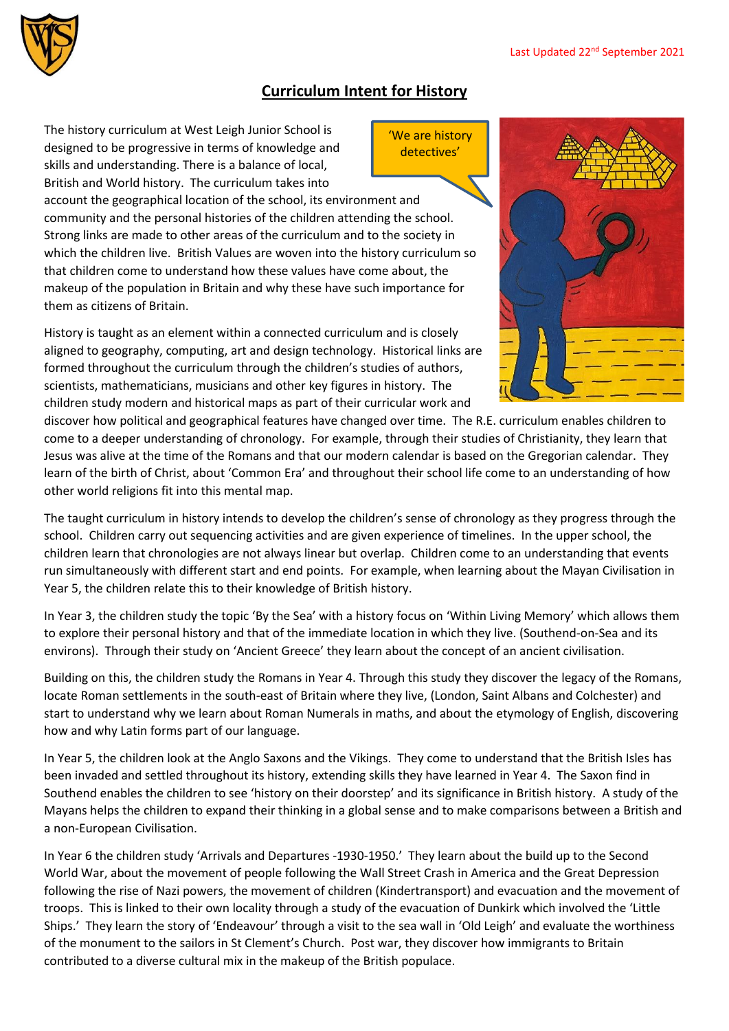

## **Curriculum Intent for History**

'We are history detectives'

The history curriculum at West Leigh Junior School is designed to be progressive in terms of knowledge and skills and understanding. There is a balance of local, British and World history. The curriculum takes into

account the geographical location of the school, its environment and community and the personal histories of the children attending the school. Strong links are made to other areas of the curriculum and to the society in which the children live. British Values are woven into the history curriculum so that children come to understand how these values have come about, the makeup of the population in Britain and why these have such importance for them as citizens of Britain.

History is taught as an element within a connected curriculum and is closely aligned to geography, computing, art and design technology. Historical links are formed throughout the curriculum through the children's studies of authors, scientists, mathematicians, musicians and other key figures in history. The children study modern and historical maps as part of their curricular work and



discover how political and geographical features have changed over time. The R.E. curriculum enables children to come to a deeper understanding of chronology. For example, through their studies of Christianity, they learn that Jesus was alive at the time of the Romans and that our modern calendar is based on the Gregorian calendar. They learn of the birth of Christ, about 'Common Era' and throughout their school life come to an understanding of how other world religions fit into this mental map.

The taught curriculum in history intends to develop the children's sense of chronology as they progress through the school. Children carry out sequencing activities and are given experience of timelines. In the upper school, the children learn that chronologies are not always linear but overlap. Children come to an understanding that events run simultaneously with different start and end points. For example, when learning about the Mayan Civilisation in Year 5, the children relate this to their knowledge of British history.

In Year 3, the children study the topic 'By the Sea' with a history focus on 'Within Living Memory' which allows them to explore their personal history and that of the immediate location in which they live. (Southend-on-Sea and its environs). Through their study on 'Ancient Greece' they learn about the concept of an ancient civilisation.

Building on this, the children study the Romans in Year 4. Through this study they discover the legacy of the Romans, locate Roman settlements in the south-east of Britain where they live, (London, Saint Albans and Colchester) and start to understand why we learn about Roman Numerals in maths, and about the etymology of English, discovering how and why Latin forms part of our language.

In Year 5, the children look at the Anglo Saxons and the Vikings. They come to understand that the British Isles has been invaded and settled throughout its history, extending skills they have learned in Year 4. The Saxon find in Southend enables the children to see 'history on their doorstep' and its significance in British history. A study of the Mayans helps the children to expand their thinking in a global sense and to make comparisons between a British and a non-European Civilisation.

In Year 6 the children study 'Arrivals and Departures -1930-1950.' They learn about the build up to the Second World War, about the movement of people following the Wall Street Crash in America and the Great Depression following the rise of Nazi powers, the movement of children (Kindertransport) and evacuation and the movement of troops. This is linked to their own locality through a study of the evacuation of Dunkirk which involved the 'Little Ships.' They learn the story of 'Endeavour' through a visit to the sea wall in 'Old Leigh' and evaluate the worthiness of the monument to the sailors in St Clement's Church. Post war, they discover how immigrants to Britain contributed to a diverse cultural mix in the makeup of the British populace.